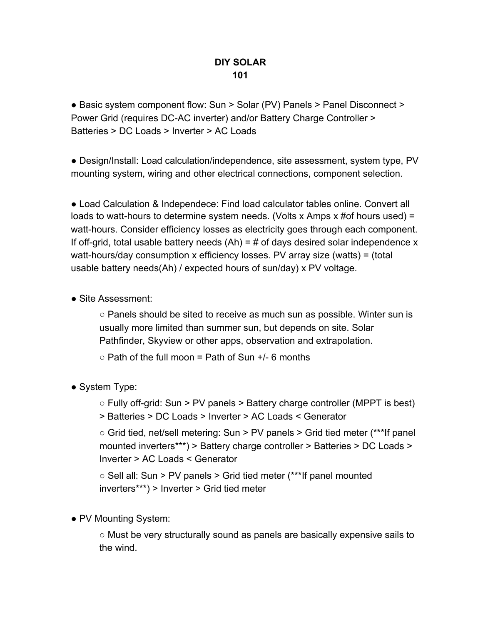## **DIY SOLAR 101**

● Basic system component flow: Sun > Solar (PV) Panels > Panel Disconnect > Power Grid (requires DC-AC inverter) and/or Battery Charge Controller > Batteries > DC Loads > Inverter > AC Loads

● Design/Install: Load calculation/independence, site assessment, system type, PV mounting system, wiring and other electrical connections, component selection.

● Load Calculation & Independece: Find load calculator tables online. Convert all loads to watt-hours to determine system needs. (Volts x Amps x #of hours used) = watt-hours. Consider efficiency losses as electricity goes through each component. If off-grid, total usable battery needs  $(Ah) = #$  of days desired solar independence x watt-hours/day consumption x efficiency losses. PV array size (watts) = (total usable battery needs(Ah) / expected hours of sun/day) x PV voltage.

• Site Assessment:

 $\circ$  Panels should be sited to receive as much sun as possible. Winter sun is usually more limited than summer sun, but depends on site. Solar Pathfinder, Skyview or other apps, observation and extrapolation.

 $\circ$  Path of the full moon = Path of Sun  $+/-$  6 months

• System Type:

○ Fully off-grid: Sun > PV panels > Battery charge controller (MPPT is best) > Batteries > DC Loads > Inverter > AC Loads < Generator

○ Grid tied, net/sell metering: Sun > PV panels > Grid tied meter (\*\*\*If panel mounted inverters\*\*\*) > Battery charge controller > Batteries > DC Loads > Inverter > AC Loads < Generator

 $\circ$  Sell all: Sun > PV panels > Grid tied meter (\*\*\*If panel mounted inverters\*\*\*) > Inverter > Grid tied meter

• PV Mounting System:

○ Must be very structurally sound as panels are basically expensive sails to the wind.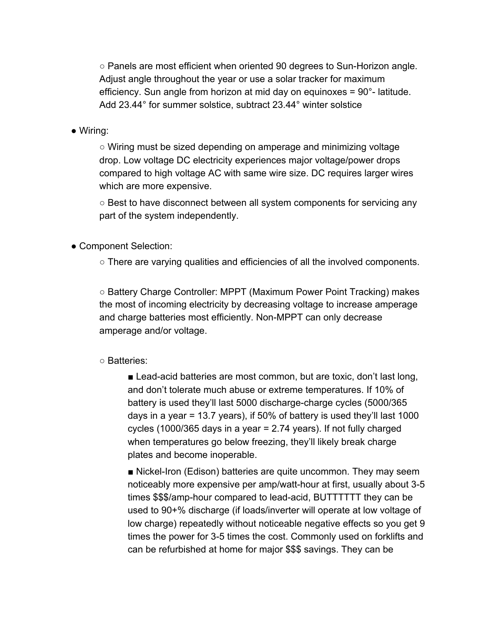○ Panels are most efficient when oriented 90 degrees to Sun-Horizon angle. Adjust angle throughout the year or use a solar tracker for maximum efficiency. Sun angle from horizon at mid day on equinoxes = 90°- latitude. Add 23.44° for summer solstice, subtract 23.44° winter solstice

## ● Wiring:

○ Wiring must be sized depending on amperage and minimizing voltage drop. Low voltage DC electricity experiences major voltage/power drops compared to high voltage AC with same wire size. DC requires larger wires which are more expensive.

○ Best to have disconnect between all system components for servicing any part of the system independently.

● Component Selection:

○ There are varying qualities and efficiencies of all the involved components.

○ Battery Charge Controller: MPPT (Maximum Power Point Tracking) makes the most of incoming electricity by decreasing voltage to increase amperage and charge batteries most efficiently. Non-MPPT can only decrease amperage and/or voltage.

## ○ Batteries:

■ Lead-acid batteries are most common, but are toxic, don't last long, and don't tolerate much abuse or extreme temperatures. If 10% of battery is used they'll last 5000 discharge-charge cycles (5000/365 days in a year = 13.7 years), if 50% of battery is used they'll last 1000 cycles (1000/365 days in a year = 2.74 years). If not fully charged when temperatures go below freezing, they'll likely break charge plates and become inoperable.

■ Nickel-Iron (Edison) batteries are quite uncommon. They may seem noticeably more expensive per amp/watt-hour at first, usually about 3-5 times \$\$\$/amp-hour compared to lead-acid, BUTTTTTT they can be used to 90+% discharge (if loads/inverter will operate at low voltage of low charge) repeatedly without noticeable negative effects so you get 9 times the power for 3-5 times the cost. Commonly used on forklifts and can be refurbished at home for major \$\$\$ savings. They can be